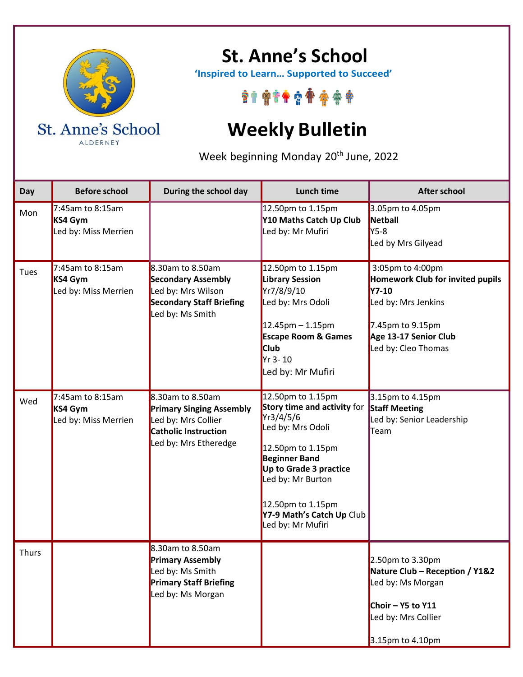

ALDERNEY

## **St. Anne's School**

 **'Inspired to Learn… Supported to Succeed'**

\*\*\*\*\*\*\*\*\*\*

## **Weekly Bulletin**

Week beginning Monday 20<sup>th</sup> June, 2022

| Day          | <b>Before school</b>                                   | During the school day                                                                                                       | <b>Lunch time</b>                                                                                                                                                                                                                                     | <b>After school</b>                                                                                                                                                    |
|--------------|--------------------------------------------------------|-----------------------------------------------------------------------------------------------------------------------------|-------------------------------------------------------------------------------------------------------------------------------------------------------------------------------------------------------------------------------------------------------|------------------------------------------------------------------------------------------------------------------------------------------------------------------------|
| Mon          | $7:45$ am to 8:15am<br>KS4 Gym<br>Led by: Miss Merrien |                                                                                                                             | 12.50pm to 1.15pm<br>Y10 Maths Catch Up Club<br>Led by: Mr Mufiri                                                                                                                                                                                     | 3.05pm to 4.05pm<br>Netball<br><b>Y5-8</b><br>Led by Mrs Gilyead                                                                                                       |
| Tues         | 7:45am to 8:15am<br>KS4 Gym<br>Led by: Miss Merrien    | 8.30am to 8.50am<br><b>Secondary Assembly</b><br>Led by: Mrs Wilson<br><b>Secondary Staff Briefing</b><br>Led by: Ms Smith  | 12.50pm to 1.15pm<br><b>Library Session</b><br>Yr7/8/9/10<br>Led by: Mrs Odoli<br>$12.45$ pm – 1.15pm<br><b>Escape Room &amp; Games</b><br><b>Club</b><br>Yr 3-10<br>Led by: Mr Mufiri                                                                | 3:05pm to 4:00pm<br><b>Homework Club for invited pupils</b><br><b>Y7-10</b><br>Led by: Mrs Jenkins<br>7.45pm to 9.15pm<br>Age 13-17 Senior Club<br>Led by: Cleo Thomas |
| Wed          | 7:45am to 8:15am<br>KS4 Gym<br>Led by: Miss Merrien    | 8.30am to 8.50am<br><b>Primary Singing Assembly</b><br>Led by: Mrs Collier<br>Catholic Instruction<br>Led by: Mrs Etheredge | 12.50pm to 1.15pm<br>Story time and activity for<br>Yr3/4/5/6<br>Led by: Mrs Odoli<br>12.50pm to 1.15pm<br><b>Beginner Band</b><br>Up to Grade 3 practice<br>Led by: Mr Burton<br>12.50pm to 1.15pm<br>Y7-9 Math's Catch Up Club<br>Led by: Mr Mufiri | 3.15pm to 4.15pm<br><b>Staff Meeting</b><br>Led by: Senior Leadership<br>Team                                                                                          |
| <b>Thurs</b> |                                                        | 8.30am to 8.50am<br><b>Primary Assembly</b><br>Led by: Ms Smith<br><b>Primary Staff Briefing</b><br>Led by: Ms Morgan       |                                                                                                                                                                                                                                                       | 2.50pm to 3.30pm<br>Nature Club - Reception / Y1&2<br>Led by: Ms Morgan<br>Choir $-$ Y5 to Y11<br>Led by: Mrs Collier<br>3.15pm to 4.10pm                              |